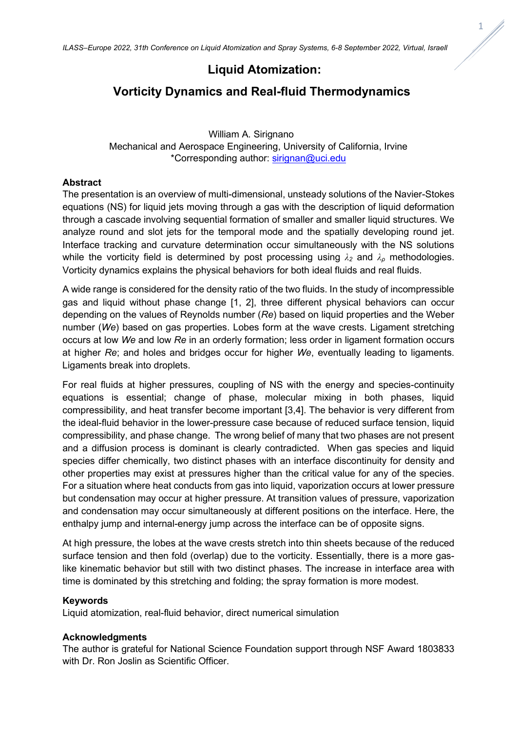# **Liquid Atomization:**

## **Vorticity Dynamics and Real-fluid Thermodynamics**

 William A. Sirignano Mechanical and Aerospace Engineering, University of California, Irvine \*Corresponding author: [sirignan@uci.edu](mailto:sirignan@uci.edu)

### **Abstract**

The presentation is an overview of multi-dimensional, unsteady solutions of the Navier-Stokes equations (NS) for liquid jets moving through a gas with the description of liquid deformation through a cascade involving sequential formation of smaller and smaller liquid structures. We analyze round and slot jets for the temporal mode and the spatially developing round jet. Interface tracking and curvature determination occur simultaneously with the NS solutions while the vorticity field is determined by post processing using *λ<sup>2</sup>* and *λ<sup>ρ</sup>* methodologies. Vorticity dynamics explains the physical behaviors for both ideal fluids and real fluids.

A wide range is considered for the density ratio of the two fluids. In the study of incompressible gas and liquid without phase change [1, 2], three different physical behaviors can occur depending on the values of Reynolds number (*Re*) based on liquid properties and the Weber number (*We*) based on gas properties. Lobes form at the wave crests. Ligament stretching occurs at low *We* and low *Re* in an orderly formation; less order in ligament formation occurs at higher *Re*; and holes and bridges occur for higher *We*, eventually leading to ligaments. Ligaments break into droplets.

For real fluids at higher pressures, coupling of NS with the energy and species-continuity equations is essential; change of phase, molecular mixing in both phases, liquid compressibility, and heat transfer become important [3,4]. The behavior is very different from the ideal-fluid behavior in the lower-pressure case because of reduced surface tension, liquid compressibility, and phase change. The wrong belief of many that two phases are not present and a diffusion process is dominant is clearly contradicted. When gas species and liquid species differ chemically, two distinct phases with an interface discontinuity for density and other properties may exist at pressures higher than the critical value for any of the species. For a situation where heat conducts from gas into liquid, vaporization occurs at lower pressure but condensation may occur at higher pressure. At transition values of pressure, vaporization and condensation may occur simultaneously at different positions on the interface. Here, the enthalpy jump and internal-energy jump across the interface can be of opposite signs.

At high pressure, the lobes at the wave crests stretch into thin sheets because of the reduced surface tension and then fold (overlap) due to the vorticity. Essentially, there is a more gaslike kinematic behavior but still with two distinct phases. The increase in interface area with time is dominated by this stretching and folding; the spray formation is more modest.

#### **Keywords**

Liquid atomization, real-fluid behavior, direct numerical simulation

#### **Acknowledgments**

The author is grateful for National Science Foundation support through NSF Award 1803833 with Dr. Ron Joslin as Scientific Officer.